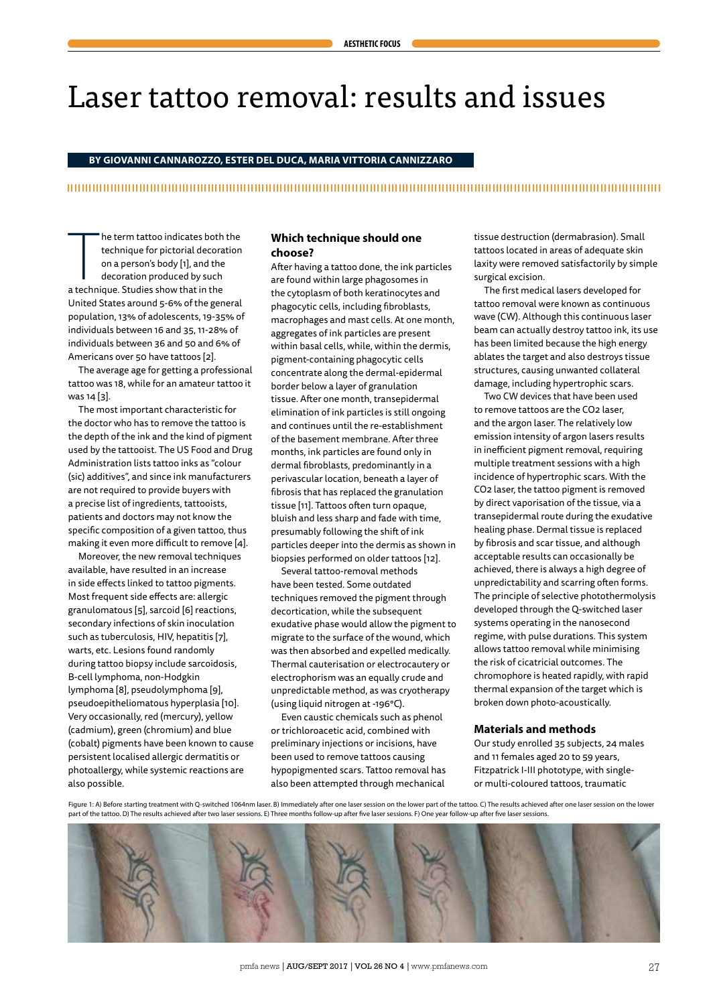# Laser tattoo removal: results and issues

**BY GIOVANNI CANNAROZZO, ESTER DEL DUCA, MARIA VITTORIA CANNIZZARO**

#### 

he term tattoo indicates both<br>technique for pictorial decora<br>on a person's body [1], and the<br>decoration produced by such<br>a technique. Studies show that in the he term tattoo indicates both the technique for pictorial decoration on a person's body [1], and the decoration produced by such United States around 5-6% of the general population, 13% of adolescents, 19-35% of individuals between 16 and 35, 11-28% of individuals between 36 and 50 and 6% of Americans over 50 have tattoos [2].

The average age for getting a professional tattoo was 18, while for an amateur tattoo it was 14 [3].

The most important characteristic for the doctor who has to remove the tattoo is the depth of the ink and the kind of pigment used by the tattooist. The US Food and Drug Administration lists tattoo inks as "colour (sic) additives", and since ink manufacturers are not required to provide buyers with a precise list of ingredients, tattooists, patients and doctors may not know the specific composition of a given tattoo, thus making it even more difficult to remove [4].

Moreover, the new removal techniques available, have resulted in an increase in side effects linked to tattoo pigments. Most frequent side effects are: allergic granulomatous [5], sarcoid [6] reactions, secondary infections of skin inoculation such as tuberculosis, HIV, hepatitis [7], warts, etc. Lesions found randomly during tattoo biopsy include sarcoidosis, B-cell lymphoma, non-Hodgkin lymphoma [8], pseudolymphoma [9], pseudoepitheliomatous hyperplasia [10]. Very occasionally, red (mercury), yellow (cadmium), green (chromium) and blue (cobalt) pigments have been known to cause persistent localised allergic dermatitis or photoallergy, while systemic reactions are also possible.

# **Which technique should one choose?**

After having a tattoo done, the ink particles are found within large phagosomes in the cytoplasm of both keratinocytes and phagocytic cells, including fibroblasts, macrophages and mast cells. At one month, aggregates of ink particles are present within basal cells, while, within the dermis, pigment-containing phagocytic cells concentrate along the dermal-epidermal border below a layer of granulation tissue. After one month, transepidermal elimination of ink particles is still ongoing and continues until the re-establishment of the basement membrane. After three months, ink particles are found only in dermal fibroblasts, predominantly in a perivascular location, beneath a layer of fibrosis that has replaced the granulation tissue [11]. Tattoos often turn opaque, bluish and less sharp and fade with time, presumably following the shift of ink particles deeper into the dermis as shown in biopsies performed on older tattoos [12].

Several tattoo-removal methods have been tested. Some outdated techniques removed the pigment through decortication, while the subsequent exudative phase would allow the pigment to migrate to the surface of the wound, which was then absorbed and expelled medically. Thermal cauterisation or electrocautery or electrophorism was an equally crude and unpredictable method, as was cryotherapy (using liquid nitrogen at -196°C).

Even caustic chemicals such as phenol or trichloroacetic acid, combined with preliminary injections or incisions, have been used to remove tattoos causing hypopigmented scars. Tattoo removal has also been attempted through mechanical

tissue destruction (dermabrasion). Small tattoos located in areas of adequate skin laxity were removed satisfactorily by simple surgical excision.

The first medical lasers developed for tattoo removal were known as continuous wave (CW). Although this continuous laser beam can actually destroy tattoo ink, its use has been limited because the high energy ablates the target and also destroys tissue structures, causing unwanted collateral damage, including hypertrophic scars.

Two CW devices that have been used to remove tattoos are the CO2 laser, and the argon laser. The relatively low emission intensity of argon lasers results in inefficient pigment removal, requiring multiple treatment sessions with a high incidence of hypertrophic scars. With the CO2 laser, the tattoo pigment is removed by direct vaporisation of the tissue, via a transepidermal route during the exudative healing phase. Dermal tissue is replaced by fibrosis and scar tissue, and although acceptable results can occasionally be achieved, there is always a high degree of unpredictability and scarring often forms. The principle of selective photothermolysis developed through the Q-switched laser systems operating in the nanosecond regime, with pulse durations. This system allows tattoo removal while minimising the risk of cicatricial outcomes. The chromophore is heated rapidly, with rapid thermal expansion of the target which is broken down photo-acoustically.

# **Materials and methods**

Our study enrolled 35 subjects, 24 males and 11 females aged 20 to 59 years, Fitzpatrick I-III phototype, with singleor multi-coloured tattoos, traumatic

Figure 1: A) Before starting treatment with Q-switched 1064nm laser. B) Immediately after one laser session on the lower part of the tattoo. C) The results achieved after one laser session on the lower part of the tattoo. D) The results achieved after two laser sessions. E) Three months follow-up after five laser sessions. F) One year follow-up after five laser sessions.

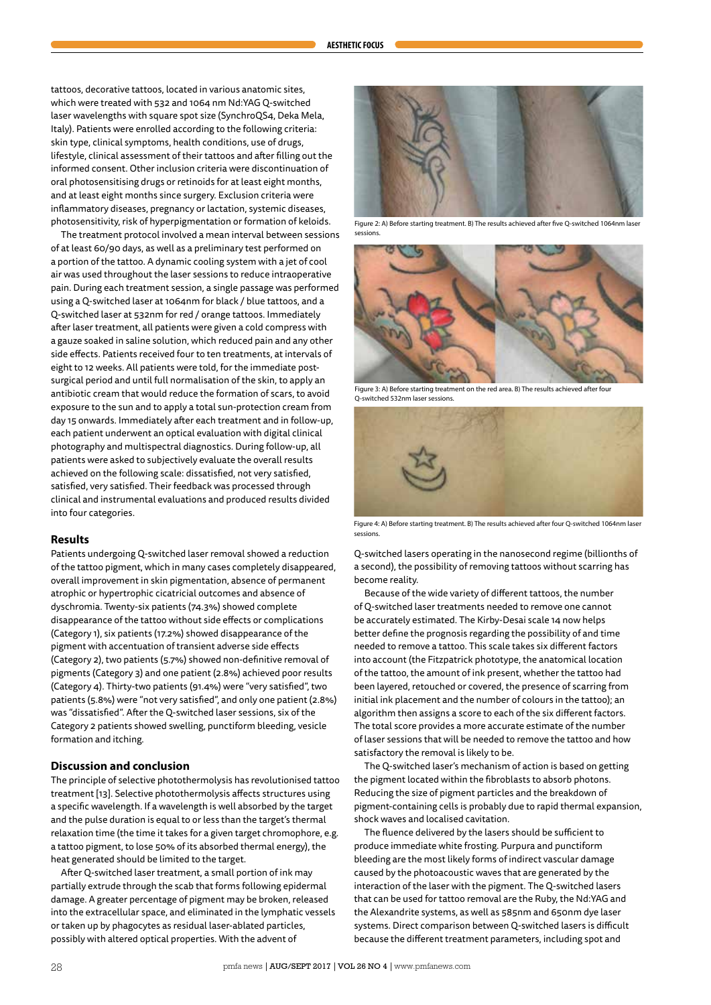tattoos, decorative tattoos, located in various anatomic sites, which were treated with 532 and 1064 nm Nd:YAG Q-switched laser wavelengths with square spot size (SynchroQS4, Deka Mela, Italy). Patients were enrolled according to the following criteria: skin type, clinical symptoms, health conditions, use of drugs, lifestyle, clinical assessment of their tattoos and after filling out the informed consent. Other inclusion criteria were discontinuation of oral photosensitising drugs or retinoids for at least eight months, and at least eight months since surgery. Exclusion criteria were inflammatory diseases, pregnancy or lactation, systemic diseases, photosensitivity, risk of hyperpigmentation or formation of keloids.

The treatment protocol involved a mean interval between sessions of at least 60/90 days, as well as a preliminary test performed on a portion of the tattoo. A dynamic cooling system with a jet of cool air was used throughout the laser sessions to reduce intraoperative pain. During each treatment session, a single passage was performed using a Q-switched laser at 1064nm for black / blue tattoos, and a Q-switched laser at 532nm for red / orange tattoos. Immediately after laser treatment, all patients were given a cold compress with a gauze soaked in saline solution, which reduced pain and any other side effects. Patients received four to ten treatments, at intervals of eight to 12 weeks. All patients were told, for the immediate postsurgical period and until full normalisation of the skin, to apply an antibiotic cream that would reduce the formation of scars, to avoid exposure to the sun and to apply a total sun-protection cream from day 15 onwards. Immediately after each treatment and in follow-up, each patient underwent an optical evaluation with digital clinical photography and multispectral diagnostics. During follow-up, all patients were asked to subjectively evaluate the overall results achieved on the following scale: dissatisfied, not very satisfied, satisfied, very satisfied. Their feedback was processed through clinical and instrumental evaluations and produced results divided into four categories.

# **Results**

Patients undergoing Q-switched laser removal showed a reduction of the tattoo pigment, which in many cases completely disappeared, overall improvement in skin pigmentation, absence of permanent atrophic or hypertrophic cicatricial outcomes and absence of dyschromia. Twenty-six patients (74.3%) showed complete disappearance of the tattoo without side effects or complications (Category 1), six patients (17.2%) showed disappearance of the pigment with accentuation of transient adverse side effects (Category 2), two patients (5.7%) showed non-definitive removal of pigments (Category 3) and one patient (2.8%) achieved poor results (Category 4). Thirty-two patients (91.4%) were "very satisfied", two patients (5.8%) were "not very satisfied", and only one patient (2.8%) was "dissatisfied". After the Q-switched laser sessions, six of the Category 2 patients showed swelling, punctiform bleeding, vesicle formation and itching.

## **Discussion and conclusion**

The principle of selective photothermolysis has revolutionised tattoo treatment [13]. Selective photothermolysis affects structures using a specific wavelength. If a wavelength is well absorbed by the target and the pulse duration is equal to or less than the target's thermal relaxation time (the time it takes for a given target chromophore, e.g. a tattoo pigment, to lose 50% of its absorbed thermal energy), the heat generated should be limited to the target.

After Q-switched laser treatment, a small portion of ink may partially extrude through the scab that forms following epidermal damage. A greater percentage of pigment may be broken, released into the extracellular space, and eliminated in the lymphatic vessels or taken up by phagocytes as residual laser-ablated particles, possibly with altered optical properties. With the advent of



Figure 2: A) Before starting treatment. B) The results achieved after five Q-switched 1064nm laser sessions.



Figure 3: A) Before starting treatment on the red area. B) The results achieved after four Q-switched 532nm laser sessions.



Figure 4: A) Before starting treatment. B) The results achieved after four Q-switched 1064nm laser sessions.

Q-switched lasers operating in the nanosecond regime (billionths of a second), the possibility of removing tattoos without scarring has become reality.

Because of the wide variety of different tattoos, the number of Q-switched laser treatments needed to remove one cannot be accurately estimated. The Kirby-Desai scale 14 now helps better define the prognosis regarding the possibility of and time needed to remove a tattoo. This scale takes six different factors into account (the Fitzpatrick phototype, the anatomical location of the tattoo, the amount of ink present, whether the tattoo had been layered, retouched or covered, the presence of scarring from initial ink placement and the number of colours in the tattoo); an algorithm then assigns a score to each of the six different factors. The total score provides a more accurate estimate of the number of laser sessions that will be needed to remove the tattoo and how satisfactory the removal is likely to be.

The Q-switched laser's mechanism of action is based on getting the pigment located within the fibroblasts to absorb photons. Reducing the size of pigment particles and the breakdown of pigment-containing cells is probably due to rapid thermal expansion, shock waves and localised cavitation.

The fluence delivered by the lasers should be sufficient to produce immediate white frosting. Purpura and punctiform bleeding are the most likely forms of indirect vascular damage caused by the photoacoustic waves that are generated by the interaction of the laser with the pigment. The Q-switched lasers that can be used for tattoo removal are the Ruby, the Nd:YAG and the Alexandrite systems, as well as 585nm and 650nm dye laser systems. Direct comparison between Q-switched lasers is difficult because the different treatment parameters, including spot and